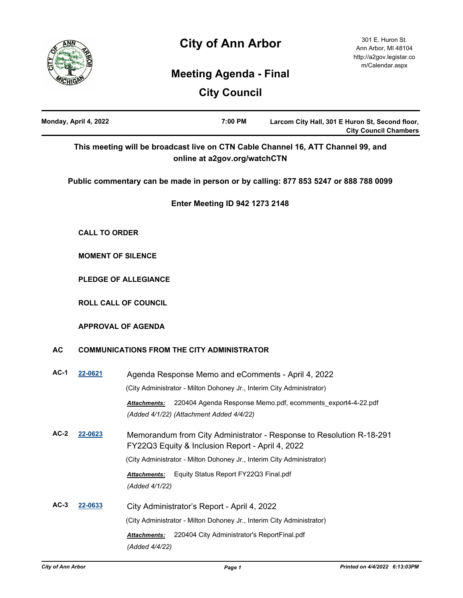# **City of Ann Arbor**



301 E. Huron St. Ann Arbor, MI 48104 http://a2gov.legistar.co m/Calendar.aspx

## **Meeting Agenda - Final**

**City Council**

|           | Monday, April 4, 2022       | 7:00 PM<br>Larcom City Hall, 301 E Huron St, Second floor,<br><b>City Council Chambers</b>                                     |  |  |  |
|-----------|-----------------------------|--------------------------------------------------------------------------------------------------------------------------------|--|--|--|
|           |                             | This meeting will be broadcast live on CTN Cable Channel 16, ATT Channel 99, and<br>online at a2gov.org/watchCTN               |  |  |  |
|           |                             | Public commentary can be made in person or by calling: 877 853 5247 or 888 788 0099                                            |  |  |  |
|           |                             | <b>Enter Meeting ID 942 1273 2148</b>                                                                                          |  |  |  |
|           | <b>CALL TO ORDER</b>        |                                                                                                                                |  |  |  |
|           | <b>MOMENT OF SILENCE</b>    |                                                                                                                                |  |  |  |
|           | <b>PLEDGE OF ALLEGIANCE</b> |                                                                                                                                |  |  |  |
|           | <b>ROLL CALL OF COUNCIL</b> |                                                                                                                                |  |  |  |
|           | <b>APPROVAL OF AGENDA</b>   |                                                                                                                                |  |  |  |
| <b>AC</b> |                             | <b>COMMUNICATIONS FROM THE CITY ADMINISTRATOR</b>                                                                              |  |  |  |
| $AC-1$    | 22-0621                     | Agenda Response Memo and eComments - April 4, 2022                                                                             |  |  |  |
|           |                             | (City Administrator - Milton Dohoney Jr., Interim City Administrator)                                                          |  |  |  |
|           |                             | 220404 Agenda Response Memo.pdf, ecomments_export4-4-22.pdf<br><b>Attachments:</b><br>(Added 4/1/22) (Attachment Added 4/4/22) |  |  |  |
| $AC-2$    | 22-0623                     | Memorandum from City Administrator - Response to Resolution R-18-291<br>FY22Q3 Equity & Inclusion Report - April 4, 2022       |  |  |  |
|           |                             | (City Administrator - Milton Dohoney Jr., Interim City Administrator)                                                          |  |  |  |
|           |                             | Equity Status Report FY22Q3 Final.pdf<br><b>Attachments:</b>                                                                   |  |  |  |
|           |                             | (Added 4/1/22)                                                                                                                 |  |  |  |
| $AC-3$    | 22-0633                     | City Administrator's Report - April 4, 2022                                                                                    |  |  |  |
|           |                             | (City Administrator - Milton Dohoney Jr., Interim City Administrator)                                                          |  |  |  |
|           |                             | 220404 City Administrator's ReportFinal.pdf<br>Attachments:<br>(Added 4/4/22)                                                  |  |  |  |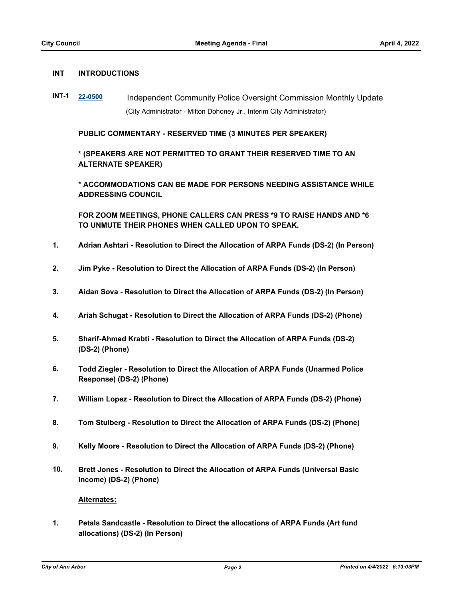#### **INT INTRODUCTIONS**

**INT-1 [22-0500](http://a2gov.legistar.com/gateway.aspx?M=L&ID=29678)** Independent Community Police Oversight Commission Monthly Update (City Administrator - Milton Dohoney Jr., Interim City Administrator)

**PUBLIC COMMENTARY - RESERVED TIME (3 MINUTES PER SPEAKER)**

**\* (SPEAKERS ARE NOT PERMITTED TO GRANT THEIR RESERVED TIME TO AN ALTERNATE SPEAKER)**

**\* ACCOMMODATIONS CAN BE MADE FOR PERSONS NEEDING ASSISTANCE WHILE ADDRESSING COUNCIL**

**FOR ZOOM MEETINGS, PHONE CALLERS CAN PRESS \*9 TO RAISE HANDS AND \*6 TO UNMUTE THEIR PHONES WHEN CALLED UPON TO SPEAK.**

- **1. Adrian Ashtari Resolution to Direct the Allocation of ARPA Funds (DS-2) (In Person)**
- **2. Jim Pyke Resolution to Direct the Allocation of ARPA Funds (DS-2) (In Person)**
- **3. Aidan Sova Resolution to Direct the Allocation of ARPA Funds (DS-2) (In Person)**
- **4. Ariah Schugat Resolution to Direct the Allocation of ARPA Funds (DS-2) (Phone)**
- **5. Sharif-Ahmed Krabti Resolution to Direct the Allocation of ARPA Funds (DS-2) (DS-2) (Phone)**
- **6. Todd Ziegler Resolution to Direct the Allocation of ARPA Funds (Unarmed Police Response) (DS-2) (Phone)**
- **7. William Lopez Resolution to Direct the Allocation of ARPA Funds (DS-2) (Phone)**
- **8. Tom Stulberg Resolution to Direct the Allocation of ARPA Funds (DS-2) (Phone)**
- **9. Kelly Moore Resolution to Direct the Allocation of ARPA Funds (DS-2) (Phone)**
- **10. Brett Jones Resolution to Direct the Allocation of ARPA Funds (Universal Basic Income) (DS-2) (Phone)**

#### **Alternates:**

**1. Petals Sandcastle - Resolution to Direct the allocations of ARPA Funds (Art fund allocations) (DS-2) (In Person)**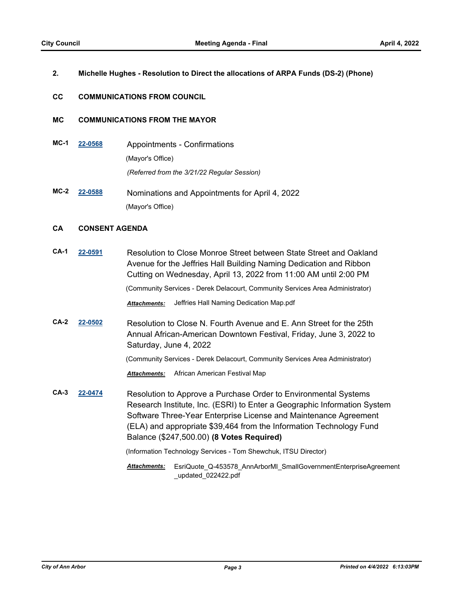#### **2. Michelle Hughes - Resolution to Direct the allocations of ARPA Funds (DS-2) (Phone)**

#### **CC COMMUNICATIONS FROM COUNCIL**

### **MC COMMUNICATIONS FROM THE MAYOR**

- **MC-1 [22-0568](http://a2gov.legistar.com/gateway.aspx?M=L&ID=29746)** Appointments Confirmations (Mayor's Office) *(Referred from the 3/21/22 Regular Session)*
- **MC-2 [22-0588](http://a2gov.legistar.com/gateway.aspx?M=L&ID=29766)** Nominations and Appointments for April 4, 2022 (Mayor's Office)

## **CA CONSENT AGENDA**

**CA-1 [22-0591](http://a2gov.legistar.com/gateway.aspx?M=L&ID=29769)** Resolution to Close Monroe Street between State Street and Oakland Avenue for the Jeffries Hall Building Naming Dedication and Ribbon Cutting on Wednesday, April 13, 2022 from 11:00 AM until 2:00 PM

(Community Services - Derek Delacourt, Community Services Area Administrator)

*Attachments:* Jeffries Hall Naming Dedication Map.pdf

**CA-2 [22-0502](http://a2gov.legistar.com/gateway.aspx?M=L&ID=29680)** Resolution to Close N. Fourth Avenue and E. Ann Street for the 25th Annual African-American Downtown Festival, Friday, June 3, 2022 to Saturday, June 4, 2022

(Community Services - Derek Delacourt, Community Services Area Administrator)

*Attachments:* African American Festival Map

**CA-3 [22-0474](http://a2gov.legistar.com/gateway.aspx?M=L&ID=29658)** Resolution to Approve a Purchase Order to Environmental Systems Research Institute, Inc. (ESRI) to Enter a Geographic Information System Software Three-Year Enterprise License and Maintenance Agreement (ELA) and appropriate \$39,464 from the Information Technology Fund Balance (\$247,500.00) **(8 Votes Required)**

(Information Technology Services - Tom Shewchuk, ITSU Director)

EsriQuote\_Q-453578\_AnnArborMI\_SmallGovernmentEnterpriseAgreement *Attachments:* \_updated\_022422.pdf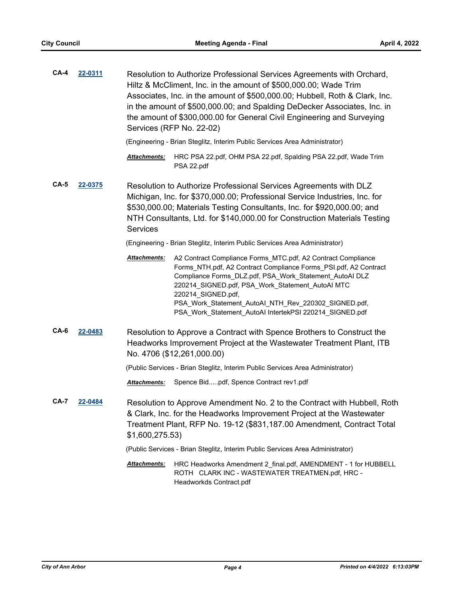| $CA-4$                 | 22-0311 | Resolution to Authorize Professional Services Agreements with Orchard,<br>Hiltz & McCliment, Inc. in the amount of \$500,000.00; Wade Trim<br>Associates, Inc. in the amount of \$500,000.00; Hubbell, Roth & Clark, Inc.<br>in the amount of \$500,000.00; and Spalding DeDecker Associates, Inc. in<br>the amount of \$300,000.00 for General Civil Engineering and Surveying<br>Services (RFP No. 22-02) |                                                                                                                                                                                                                                                                                                                                                                                          |  |  |
|------------------------|---------|-------------------------------------------------------------------------------------------------------------------------------------------------------------------------------------------------------------------------------------------------------------------------------------------------------------------------------------------------------------------------------------------------------------|------------------------------------------------------------------------------------------------------------------------------------------------------------------------------------------------------------------------------------------------------------------------------------------------------------------------------------------------------------------------------------------|--|--|
|                        |         |                                                                                                                                                                                                                                                                                                                                                                                                             | (Engineering - Brian Steglitz, Interim Public Services Area Administrator)                                                                                                                                                                                                                                                                                                               |  |  |
|                        |         | Attachments:                                                                                                                                                                                                                                                                                                                                                                                                | HRC PSA 22.pdf, OHM PSA 22.pdf, Spalding PSA 22.pdf, Wade Trim<br>PSA 22.pdf                                                                                                                                                                                                                                                                                                             |  |  |
| $CA-5$                 | 22-0375 | Resolution to Authorize Professional Services Agreements with DLZ<br>Michigan, Inc. for \$370,000.00; Professional Service Industries, Inc. for<br>\$530,000.00; Materials Testing Consultants, Inc. for \$920,000.00; and<br>NTH Consultants, Ltd. for \$140,000.00 for Construction Materials Testing<br><b>Services</b>                                                                                  |                                                                                                                                                                                                                                                                                                                                                                                          |  |  |
|                        |         | (Engineering - Brian Steglitz, Interim Public Services Area Administrator)                                                                                                                                                                                                                                                                                                                                  |                                                                                                                                                                                                                                                                                                                                                                                          |  |  |
|                        |         | Attachments:                                                                                                                                                                                                                                                                                                                                                                                                | A2 Contract Compliance Forms_MTC.pdf, A2 Contract Compliance<br>Forms_NTH.pdf, A2 Contract Compliance Forms_PSI.pdf, A2 Contract<br>Compliance Forms DLZ.pdf, PSA Work Statement AutoAl DLZ<br>220214_SIGNED.pdf, PSA_Work_Statement_AutoAl MTC<br>220214_SIGNED.pdf,<br>PSA_Work_Statement_AutoAl_NTH_Rev_220302_SIGNED.pdf,<br>PSA_Work_Statement_AutoAI IntertekPSI 220214_SIGNED.pdf |  |  |
| $CA-6$                 | 22-0483 | Resolution to Approve a Contract with Spence Brothers to Construct the<br>Headworks Improvement Project at the Wastewater Treatment Plant, ITB<br>No. 4706 (\$12,261,000.00)                                                                                                                                                                                                                                |                                                                                                                                                                                                                                                                                                                                                                                          |  |  |
|                        |         | (Public Services - Brian Steglitz, Interim Public Services Area Administrator)                                                                                                                                                                                                                                                                                                                              |                                                                                                                                                                                                                                                                                                                                                                                          |  |  |
|                        |         | Attachments:                                                                                                                                                                                                                                                                                                                                                                                                | Spence Bidpdf, Spence Contract rev1.pdf                                                                                                                                                                                                                                                                                                                                                  |  |  |
| <b>CA-7</b><br>22-0484 |         | \$1,600,275.53)                                                                                                                                                                                                                                                                                                                                                                                             | Resolution to Approve Amendment No. 2 to the Contract with Hubbell, Roth<br>& Clark, Inc. for the Headworks Improvement Project at the Wastewater<br>Treatment Plant, RFP No. 19-12 (\$831,187.00 Amendment, Contract Total                                                                                                                                                              |  |  |
|                        |         | (Public Services - Brian Steglitz, Interim Public Services Area Administrator)                                                                                                                                                                                                                                                                                                                              |                                                                                                                                                                                                                                                                                                                                                                                          |  |  |
|                        |         | Attachments:                                                                                                                                                                                                                                                                                                                                                                                                | HRC Headworks Amendment 2_final.pdf, AMENDMENT - 1 for HUBBELL<br>ROTH CLARK INC - WASTEWATER TREATMEN.pdf, HRC -<br>Headworkds Contract.pdf                                                                                                                                                                                                                                             |  |  |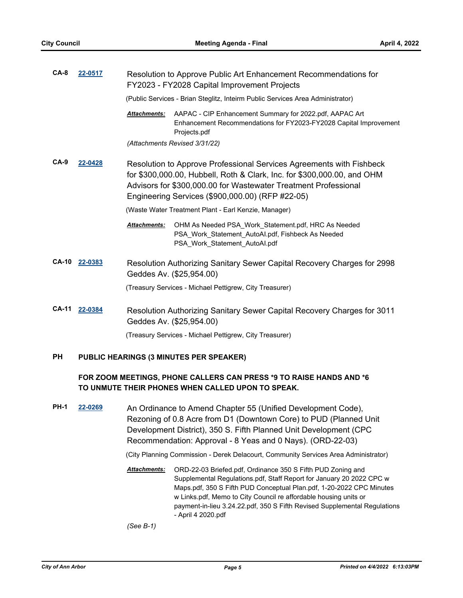| $CA-8$       | 22-0517                             | Resolution to Approve Public Art Enhancement Recommendations for<br>FY2023 - FY2028 Capital Improvement Projects                                                                                                                                                       |                                                                                                                                              |  |  |
|--------------|-------------------------------------|------------------------------------------------------------------------------------------------------------------------------------------------------------------------------------------------------------------------------------------------------------------------|----------------------------------------------------------------------------------------------------------------------------------------------|--|--|
|              |                                     | (Public Services - Brian Steglitz, Inteirm Public Services Area Administrator)                                                                                                                                                                                         |                                                                                                                                              |  |  |
|              |                                     | <b>Attachments:</b>                                                                                                                                                                                                                                                    | AAPAC - CIP Enhancement Summary for 2022.pdf, AAPAC Art<br>Enhancement Recommendations for FY2023-FY2028 Capital Improvement<br>Projects.pdf |  |  |
|              |                                     | (Attachments Revised 3/31/22)                                                                                                                                                                                                                                          |                                                                                                                                              |  |  |
| $CA-9$       | 22-0428                             | Resolution to Approve Professional Services Agreements with Fishbeck<br>for \$300,000.00, Hubbell, Roth & Clark, Inc. for \$300,000.00, and OHM<br>Advisors for \$300,000.00 for Wastewater Treatment Professional<br>Engineering Services (\$900,000.00) (RFP #22-05) |                                                                                                                                              |  |  |
|              |                                     | (Waste Water Treatment Plant - Earl Kenzie, Manager)                                                                                                                                                                                                                   |                                                                                                                                              |  |  |
|              |                                     | Attachments:                                                                                                                                                                                                                                                           | OHM As Needed PSA_Work_Statement.pdf, HRC As Needed<br>PSA_Work_Statement_AutoAl.pdf, Fishbeck As Needed<br>PSA_Work_Statement_AutoAl.pdf    |  |  |
| <b>CA-10</b> | 22-0383                             | Resolution Authorizing Sanitary Sewer Capital Recovery Charges for 2998<br>Geddes Av. (\$25,954.00)                                                                                                                                                                    |                                                                                                                                              |  |  |
|              |                                     | (Treasury Services - Michael Pettigrew, City Treasurer)                                                                                                                                                                                                                |                                                                                                                                              |  |  |
| <b>CA-11</b> | 22-0384<br>Geddes Av. (\$25,954.00) |                                                                                                                                                                                                                                                                        | Resolution Authorizing Sanitary Sewer Capital Recovery Charges for 3011                                                                      |  |  |
|              |                                     |                                                                                                                                                                                                                                                                        | (Treasury Services - Michael Pettigrew, City Treasurer)                                                                                      |  |  |
| PН           |                                     |                                                                                                                                                                                                                                                                        | PUBLIC HEARINGS (3 MINUTES PER SPEAKER)                                                                                                      |  |  |

## **FOR ZOOM MEETINGS, PHONE CALLERS CAN PRESS \*9 TO RAISE HANDS AND \*6 TO UNMUTE THEIR PHONES WHEN CALLED UPON TO SPEAK.**

**PH-1 [22-0269](http://a2gov.legistar.com/gateway.aspx?M=L&ID=29456)** An Ordinance to Amend Chapter 55 (Unified Development Code), Rezoning of 0.8 Acre from D1 (Downtown Core) to PUD (Planned Unit Development District), 350 S. Fifth Planned Unit Development (CPC Recommendation: Approval - 8 Yeas and 0 Nays). (ORD-22-03)

(City Planning Commission - Derek Delacourt, Community Services Area Administrator)

Attachments: ORD-22-03 Briefed.pdf, Ordinance 350 S Fifth PUD Zoning and Supplemental Regulations.pdf, Staff Report for January 20 2022 CPC w Maps.pdf, 350 S Fifth PUD Conceptual Plan.pdf, 1-20-2022 CPC Minutes w Links.pdf, Memo to City Council re affordable housing units or payment-in-lieu 3.24.22.pdf, 350 S Fifth Revised Supplemental Regulations - April 4 2020.pdf

*(See B-1)*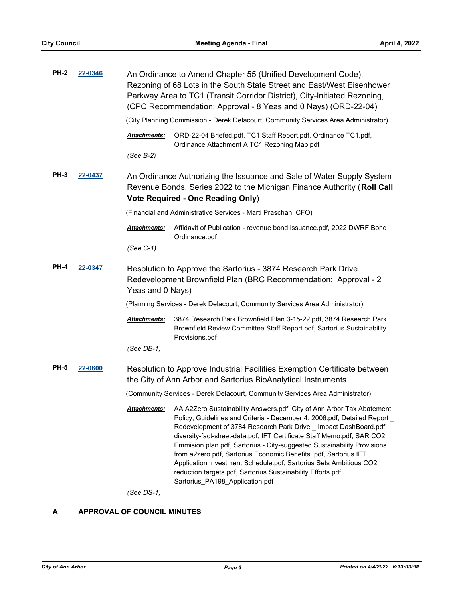| <b>PH-2</b>            | 22-0346 |                                                                                                                                                                                              | An Ordinance to Amend Chapter 55 (Unified Development Code),<br>Rezoning of 68 Lots in the South State Street and East/West Eisenhower<br>Parkway Area to TC1 (Transit Corridor District), City-Initiated Rezoning,<br>(CPC Recommendation: Approval - 8 Yeas and 0 Nays) (ORD-22-04)                                                                                                                                                                                                                                                                                                                                    |  |  |
|------------------------|---------|----------------------------------------------------------------------------------------------------------------------------------------------------------------------------------------------|--------------------------------------------------------------------------------------------------------------------------------------------------------------------------------------------------------------------------------------------------------------------------------------------------------------------------------------------------------------------------------------------------------------------------------------------------------------------------------------------------------------------------------------------------------------------------------------------------------------------------|--|--|
|                        |         | (City Planning Commission - Derek Delacourt, Community Services Area Administrator)                                                                                                          |                                                                                                                                                                                                                                                                                                                                                                                                                                                                                                                                                                                                                          |  |  |
|                        |         | Attachments:                                                                                                                                                                                 | ORD-22-04 Briefed.pdf, TC1 Staff Report.pdf, Ordinance TC1.pdf,<br>Ordinance Attachment A TC1 Rezoning Map.pdf                                                                                                                                                                                                                                                                                                                                                                                                                                                                                                           |  |  |
|                        |         | (See B-2)                                                                                                                                                                                    |                                                                                                                                                                                                                                                                                                                                                                                                                                                                                                                                                                                                                          |  |  |
| <b>PH-3</b><br>22-0437 |         | An Ordinance Authorizing the Issuance and Sale of Water Supply System<br>Revenue Bonds, Series 2022 to the Michigan Finance Authority (Roll Call<br><b>Vote Required - One Reading Only)</b> |                                                                                                                                                                                                                                                                                                                                                                                                                                                                                                                                                                                                                          |  |  |
|                        |         | (Financial and Administrative Services - Marti Praschan, CFO)                                                                                                                                |                                                                                                                                                                                                                                                                                                                                                                                                                                                                                                                                                                                                                          |  |  |
|                        |         | Attachments:                                                                                                                                                                                 | Affidavit of Publication - revenue bond issuance.pdf, 2022 DWRF Bond<br>Ordinance.pdf                                                                                                                                                                                                                                                                                                                                                                                                                                                                                                                                    |  |  |
|                        |         | (See C-1)                                                                                                                                                                                    |                                                                                                                                                                                                                                                                                                                                                                                                                                                                                                                                                                                                                          |  |  |
| <b>PH-4</b>            | 22-0347 | Resolution to Approve the Sartorius - 3874 Research Park Drive<br>Redevelopment Brownfield Plan (BRC Recommendation: Approval - 2<br>Yeas and 0 Nays)                                        |                                                                                                                                                                                                                                                                                                                                                                                                                                                                                                                                                                                                                          |  |  |
|                        |         | (Planning Services - Derek Delacourt, Community Services Area Administrator)                                                                                                                 |                                                                                                                                                                                                                                                                                                                                                                                                                                                                                                                                                                                                                          |  |  |
|                        |         | Attachments:                                                                                                                                                                                 | 3874 Research Park Brownfield Plan 3-15-22.pdf, 3874 Research Park<br>Brownfield Review Committee Staff Report.pdf, Sartorius Sustainability<br>Provisions.pdf                                                                                                                                                                                                                                                                                                                                                                                                                                                           |  |  |
|                        |         | $(See DB-1)$                                                                                                                                                                                 |                                                                                                                                                                                                                                                                                                                                                                                                                                                                                                                                                                                                                          |  |  |
| <b>PH-5</b>            | 22-0600 | Resolution to Approve Industrial Facilities Exemption Certificate between<br>the City of Ann Arbor and Sartorius BioAnalytical Instruments                                                   |                                                                                                                                                                                                                                                                                                                                                                                                                                                                                                                                                                                                                          |  |  |
|                        |         | (Community Services - Derek Delacourt, Community Services Area Administrator)                                                                                                                |                                                                                                                                                                                                                                                                                                                                                                                                                                                                                                                                                                                                                          |  |  |
|                        |         | Attachments:                                                                                                                                                                                 | AA A2Zero Sustainability Answers.pdf, City of Ann Arbor Tax Abatement<br>Policy, Guidelines and Criteria - December 4, 2006.pdf, Detailed Report _<br>Redevelopment of 3784 Research Park Drive _ Impact DashBoard.pdf,<br>diversity-fact-sheet-data.pdf, IFT Certificate Staff Memo.pdf, SAR CO2<br>Emmision plan.pdf, Sartorius - City-suggested Sustainability Provisions<br>from a2zero.pdf, Sartorius Economic Benefits .pdf, Sartorius IFT<br>Application Investment Schedule.pdf, Sartorius Sets Ambitious CO2<br>reduction targets.pdf, Sartorius Sustainability Efforts.pdf,<br>Sartorius_PA198_Application.pdf |  |  |
|                        |         | $(See DS-1)$                                                                                                                                                                                 |                                                                                                                                                                                                                                                                                                                                                                                                                                                                                                                                                                                                                          |  |  |

**A APPROVAL OF COUNCIL MINUTES**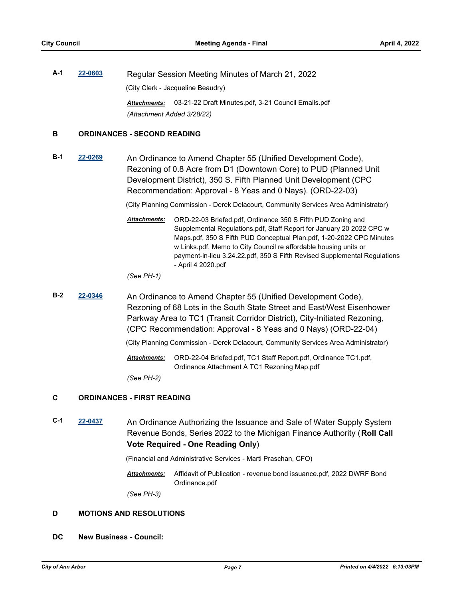**A-1 [22-0603](http://a2gov.legistar.com/gateway.aspx?M=L&ID=29781)** Regular Session Meeting Minutes of March 21, 2022 (City Clerk - Jacqueline Beaudry) *Attachments:* 03-21-22 Draft Minutes.pdf, 3-21 Council Emails.pdf *(Attachment Added 3/28/22)*

#### **B ORDINANCES - SECOND READING**

**B-1 [22-0269](http://a2gov.legistar.com/gateway.aspx?M=L&ID=29456)** An Ordinance to Amend Chapter 55 (Unified Development Code), Rezoning of 0.8 Acre from D1 (Downtown Core) to PUD (Planned Unit Development District), 350 S. Fifth Planned Unit Development (CPC Recommendation: Approval - 8 Yeas and 0 Nays). (ORD-22-03)

(City Planning Commission - Derek Delacourt, Community Services Area Administrator)

ORD-22-03 Briefed.pdf, Ordinance 350 S Fifth PUD Zoning and Supplemental Regulations.pdf, Staff Report for January 20 2022 CPC w Maps.pdf, 350 S Fifth PUD Conceptual Plan.pdf, 1-20-2022 CPC Minutes w Links.pdf, Memo to City Council re affordable housing units or payment-in-lieu 3.24.22.pdf, 350 S Fifth Revised Supplemental Regulations - April 4 2020.pdf *Attachments:*

*(See PH-1)*

**B-2 [22-0346](http://a2gov.legistar.com/gateway.aspx?M=L&ID=29533)** An Ordinance to Amend Chapter 55 (Unified Development Code), Rezoning of 68 Lots in the South State Street and East/West Eisenhower Parkway Area to TC1 (Transit Corridor District), City-Initiated Rezoning, (CPC Recommendation: Approval - 8 Yeas and 0 Nays) (ORD-22-04)

(City Planning Commission - Derek Delacourt, Community Services Area Administrator)

ORD-22-04 Briefed.pdf, TC1 Staff Report.pdf, Ordinance TC1.pdf, Ordinance Attachment A TC1 Rezoning Map.pdf *Attachments:*

*(See PH-2)*

#### **C ORDINANCES - FIRST READING**

**C-1 [22-0437](http://a2gov.legistar.com/gateway.aspx?M=L&ID=29621)** An Ordinance Authorizing the Issuance and Sale of Water Supply System Revenue Bonds, Series 2022 to the Michigan Finance Authority (**Roll Call Vote Required - One Reading Only**)

(Financial and Administrative Services - Marti Praschan, CFO)

Affidavit of Publication - revenue bond issuance.pdf, 2022 DWRF Bond Ordinance.pdf *Attachments:*

*(See PH-3)*

#### **D MOTIONS AND RESOLUTIONS**

**DC New Business - Council:**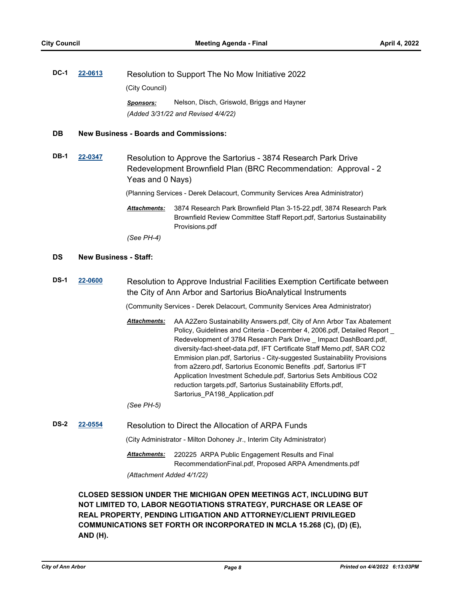| DC-1                               | 22-0613 | Resolution to Support The No Mow Initiative 2022 |                                            |  |
|------------------------------------|---------|--------------------------------------------------|--------------------------------------------|--|
|                                    |         | (City Council)                                   |                                            |  |
|                                    |         | Sponsors:                                        | Nelson, Disch, Griswold, Briggs and Hayner |  |
| (Added 3/31/22 and Revised 4/4/22) |         |                                                  |                                            |  |

#### **DB New Business - Boards and Commissions:**

**DB-1 [22-0347](http://a2gov.legistar.com/gateway.aspx?M=L&ID=29534)** Resolution to Approve the Sartorius - 3874 Research Park Drive Redevelopment Brownfield Plan (BRC Recommendation: Approval - 2 Yeas and 0 Nays)

(Planning Services - Derek Delacourt, Community Services Area Administrator)

3874 Research Park Brownfield Plan 3-15-22.pdf, 3874 Research Park Brownfield Review Committee Staff Report.pdf, Sartorius Sustainability Provisions.pdf *Attachments:*

*(See PH-4)*

#### **DS New Business - Staff:**

**DS-1 [22-0600](http://a2gov.legistar.com/gateway.aspx?M=L&ID=29778)** Resolution to Approve Industrial Facilities Exemption Certificate between the City of Ann Arbor and Sartorius BioAnalytical Instruments

(Community Services - Derek Delacourt, Community Services Area Administrator)

AA A2Zero Sustainability Answers.pdf, City of Ann Arbor Tax Abatement Policy, Guidelines and Criteria - December 4, 2006.pdf, Detailed Report \_ Redevelopment of 3784 Research Park Drive \_ Impact DashBoard.pdf, diversity-fact-sheet-data.pdf, IFT Certificate Staff Memo.pdf, SAR CO2 Emmision plan.pdf, Sartorius - City-suggested Sustainability Provisions from a2zero.pdf, Sartorius Economic Benefits .pdf, Sartorius IFT Application Investment Schedule.pdf, Sartorius Sets Ambitious CO2 reduction targets.pdf, Sartorius Sustainability Efforts.pdf, Sartorius\_PA198\_Application.pdf *Attachments:*

*(See PH-5)*

**DS-2 [22-0554](http://a2gov.legistar.com/gateway.aspx?M=L&ID=29732)** Resolution to Direct the Allocation of ARPA Funds

(City Administrator - Milton Dohoney Jr., Interim City Administrator)

220225 ARPA Public Engagement Results and Final RecommendationFinal.pdf, Proposed ARPA Amendments.pdf *Attachments:*

*(Attachment Added 4/1/22)*

**CLOSED SESSION UNDER THE MICHIGAN OPEN MEETINGS ACT, INCLUDING BUT NOT LIMITED TO, LABOR NEGOTIATIONS STRATEGY, PURCHASE OR LEASE OF REAL PROPERTY, PENDING LITIGATION AND ATTORNEY/CLIENT PRIVILEGED COMMUNICATIONS SET FORTH OR INCORPORATED IN MCLA 15.268 (C), (D) (E), AND (H).**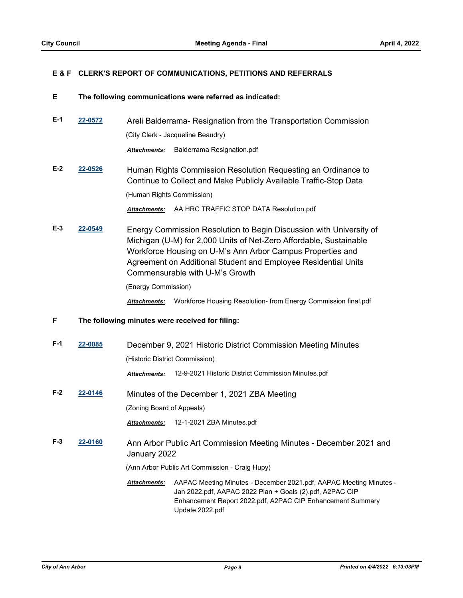#### **E & F CLERK'S REPORT OF COMMUNICATIONS, PETITIONS AND REFERRALS**

#### **E The following communications were referred as indicated:**

- **E-1 [22-0572](http://a2gov.legistar.com/gateway.aspx?M=L&ID=29750)** Areli Balderrama- Resignation from the Transportation Commission (City Clerk - Jacqueline Beaudry) *Attachments:* Balderrama Resignation.pdf
- **E-2 [22-0526](http://a2gov.legistar.com/gateway.aspx?M=L&ID=29704)** Human Rights Commission Resolution Requesting an Ordinance to Continue to Collect and Make Publicly Available Traffic-Stop Data (Human Rights Commission)

*Attachments:* AA HRC TRAFFIC STOP DATA Resolution.pdf

**E-3 [22-0549](http://a2gov.legistar.com/gateway.aspx?M=L&ID=29727)** Energy Commission Resolution to Begin Discussion with University of Michigan (U-M) for 2,000 Units of Net-Zero Affordable, Sustainable Workforce Housing on U-M's Ann Arbor Campus Properties and Agreement on Additional Student and Employee Residential Units Commensurable with U-M's Growth

(Energy Commission)

*Attachments:* Workforce Housing Resolution- from Energy Commission final.pdf

- **F The following minutes were received for filing:**
- **F-1 [22-0085](http://a2gov.legistar.com/gateway.aspx?M=L&ID=29276)** December 9, 2021 Historic District Commission Meeting Minutes (Historic District Commission)

*Attachments:* 12-9-2021 Historic District Commission Minutes.pdf

**F-2 [22-0146](http://a2gov.legistar.com/gateway.aspx?M=L&ID=29337)** Minutes of the December 1, 2021 ZBA Meeting (Zoning Board of Appeals)

*Attachments:* 12-1-2021 ZBA Minutes.pdf

**F-3 [22-0160](http://a2gov.legistar.com/gateway.aspx?M=L&ID=29351)** Ann Arbor Public Art Commission Meeting Minutes - December 2021 and January 2022

(Ann Arbor Public Art Commission - Craig Hupy)

Attachments: AAPAC Meeting Minutes - December 2021.pdf, AAPAC Meeting Minutes -Jan 2022.pdf, AAPAC 2022 Plan + Goals (2).pdf, A2PAC CIP Enhancement Report 2022.pdf, A2PAC CIP Enhancement Summary Update 2022.pdf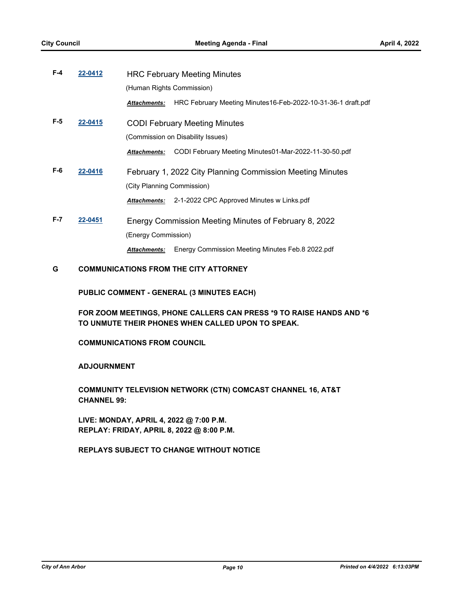| $F-4$   | 22-0412 | <b>HRC February Meeting Minutes</b> |                                                              |  |
|---------|---------|-------------------------------------|--------------------------------------------------------------|--|
|         |         | (Human Rights Commission)           |                                                              |  |
|         |         | <b>Attachments:</b>                 | HRC February Meeting Minutes16-Feb-2022-10-31-36-1 draft.pdf |  |
| $F-5$   | 22-0415 |                                     | <b>CODI February Meeting Minutes</b>                         |  |
|         |         |                                     | (Commission on Disability Issues)                            |  |
|         |         | <b>Attachments:</b>                 | CODI February Meeting Minutes01-Mar-2022-11-30-50.pdf        |  |
| F-6     | 22-0416 |                                     | February 1, 2022 City Planning Commission Meeting Minutes    |  |
|         |         | (City Planning Commission)          |                                                              |  |
|         |         | <b>Attachments:</b>                 | 2-1-2022 CPC Approved Minutes w Links.pdf                    |  |
| $F - 7$ | 22-0451 |                                     | Energy Commission Meeting Minutes of February 8, 2022        |  |
|         |         | (Energy Commission)                 |                                                              |  |
|         |         | <b>Attachments:</b>                 | Energy Commission Meeting Minutes Feb.8 2022.pdf             |  |
|         |         |                                     |                                                              |  |

## **G COMMUNICATIONS FROM THE CITY ATTORNEY**

**PUBLIC COMMENT - GENERAL (3 MINUTES EACH)**

**FOR ZOOM MEETINGS, PHONE CALLERS CAN PRESS \*9 TO RAISE HANDS AND \*6 TO UNMUTE THEIR PHONES WHEN CALLED UPON TO SPEAK.**

**COMMUNICATIONS FROM COUNCIL**

**ADJOURNMENT**

**COMMUNITY TELEVISION NETWORK (CTN) COMCAST CHANNEL 16, AT&T CHANNEL 99:**

**LIVE: MONDAY, APRIL 4, 2022 @ 7:00 P.M. REPLAY: FRIDAY, APRIL 8, 2022 @ 8:00 P.M.**

**REPLAYS SUBJECT TO CHANGE WITHOUT NOTICE**